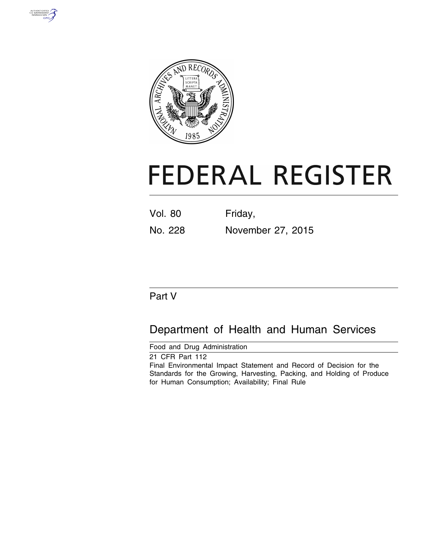



# **FEDERAL REGISTER**

| <b>Vol. 80</b> | Friday,           |
|----------------|-------------------|
| No. 228        | November 27, 2015 |

# Part V

# Department of Health and Human Services

Food and Drug Administration

21 CFR Part 112 Final Environmental Impact Statement and Record of Decision for the Standards for the Growing, Harvesting, Packing, and Holding of Produce for Human Consumption; Availability; Final Rule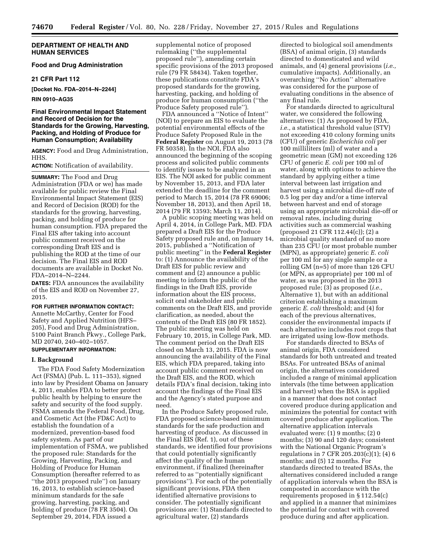# **DEPARTMENT OF HEALTH AND HUMAN SERVICES**

# **Food and Drug Administration**

# **21 CFR Part 112**

**[Docket No. FDA–2014–N–2244]** 

**RIN 0910–AG35** 

# **Final Environmental Impact Statement and Record of Decision for the Standards for the Growing, Harvesting, Packing, and Holding of Produce for Human Consumption; Availability**

**AGENCY:** Food and Drug Administration, HHS.

## **ACTION:** Notification of availability.

**SUMMARY:** The Food and Drug Administration (FDA or we) has made available for public review the Final Environmental Impact Statement (EIS) and Record of Decision (ROD) for the standards for the growing, harvesting, packing, and holding of produce for human consumption. FDA prepared the Final EIS after taking into account public comment received on the corresponding Draft EIS and is publishing the ROD at the time of our decision. The Final EIS and ROD documents are available in Docket No. FDA–2014–N–2244.

**DATES:** FDA announces the availability of the EIS and ROD on November 27, 2015.

#### **FOR FURTHER INFORMATION CONTACT:**

Annette McCarthy, Center for Food Safety and Applied Nutrition (HFS– 205), Food and Drug Administration, 5100 Paint Branch Pkwy., College Park, MD 20740, 240–402–1057.

# **SUPPLEMENTARY INFORMATION:**

#### **I. Background**

The FDA Food Safety Modernization Act (FSMA) (Pub. L. 111–353), signed into law by President Obama on January 4, 2011, enables FDA to better protect public health by helping to ensure the safety and security of the food supply. FSMA amends the Federal Food, Drug, and Cosmetic Act (the FD&C Act) to establish the foundation of a modernized, prevention-based food safety system. As part of our implementation of FSMA, we published the proposed rule: Standards for the Growing, Harvesting, Packing, and Holding of Produce for Human Consumption (hereafter referred to as ''the 2013 proposed rule'') on January 16, 2013, to establish science-based minimum standards for the safe growing, harvesting, packing, and holding of produce (78 FR 3504). On September 29, 2014, FDA issued a

supplemental notice of proposed rulemaking (''the supplemental proposed rule''), amending certain specific provisions of the 2013 proposed rule (79 FR 58434). Taken together, these publications constitute FDA's proposed standards for the growing, harvesting, packing, and holding of produce for human consumption (''the Produce Safety proposed rule"

FDA announced a ''Notice of Intent'' (NOI) to prepare an EIS to evaluate the potential environmental effects of the Produce Safety Proposed Rule in the **Federal Register** on August 19, 2013 (78 FR 50358). In the NOI, FDA also announced the beginning of the scoping process and solicited public comments to identify issues to be analyzed in an EIS. The NOI asked for public comment by November 15, 2013, and FDA later extended the deadline for the comment period to March 15, 2014 (78 FR 69006; November 18, 2013), and then April 18, 2014 (79 FR 13593; March 11, 2014).

A public scoping meeting was held on April 4, 2014, in College Park, MD. FDA prepared a Draft EIS for the Produce Safety proposed rule and, on January 14, 2015, published a ''Notification of public meeting'' in the **Federal Register**  to: (1) Announce the availability of the Draft EIS for public review and comment and (2) announce a public meeting to inform the public of the findings in the Draft EIS, provide information about the EIS process, solicit oral stakeholder and public comments on the Draft EIS, and provide clarification, as needed, about the contents of the Draft EIS (80 FR 1852). The public meeting was held on February 10, 2015, in College Park, MD. The comment period on the Draft EIS closed on March 13, 2015. FDA is now announcing the availability of the Final EIS, which FDA prepared, taking into account public comment received on the Draft EIS, and the ROD, which details FDA's final decision, taking into account the findings of the Final EIS and the Agency's stated purpose and need.

In the Produce Safety proposed rule, FDA proposed science-based minimum standards for the safe production and harvesting of produce. As discussed in the Final EIS (Ref. 1), out of these standards, we identified four provisions that could potentially significantly affect the quality of the human environment, if finalized (hereinafter referred to as ''potentially significant provisions''). For each of the potentially significant provisions, FDA then identified alternative provisions to consider. The potentially significant provisions are: (1) Standards directed to agricultural water, (2) standards

directed to biological soil amendments (BSA) of animal origin, (3) standards directed to domesticated and wild animals, and (4) general provisions (*i.e.,*  cumulative impacts). Additionally, an overarching ''No Action'' alternative was considered for the purpose of evaluating conditions in the absence of any final rule.

For standards directed to agricultural water, we considered the following alternatives: (1) As proposed by FDA, *i.e.,* a statistical threshold value (STV) not exceeding 410 colony forming units (CFU) of generic *Escherichia coli* per 100 milliliters (ml) of water and a geometric mean (GM) not exceeding 126 CFU of generic *E. coli* per 100 ml of water, along with options to achieve the standard by applying either a time interval between last irrigation and harvest using a microbial die-off rate of 0.5 log per day and/or a time interval between harvest and end of storage using an appropriate microbial die-off or removal rates, including during activities such as commercial washing (proposed 21 CFR 112.44(c)); (2) a microbial quality standard of no more than 235 CFU (or most probable number (MPN), as appropriate) generic *E. coli*  per 100 ml for any single sample or a rolling GM (n=5) of more than 126 CFU (or MPN, as appropriate) per 100 ml of water, as was proposed in the 2013 proposed rule; (3) as proposed (*i.e.,*  Alternative 1), but with an additional criterion establishing a maximum generic *E. coli* threshold; and (4) for each of the previous alternatives, consider the environmental impacts if each alternative includes root crops that are irrigated using low-flow methods.

For standards directed to BSAs of animal origin, FDA considered standards for both untreated and treated BSAs. For untreated BSAs of animal origin, the alternatives considered included a range of minimal application intervals (the time between application and harvest) when the BSA is applied in a manner that does not contact covered produce during application and minimizes the potential for contact with covered produce after application. The alternative application intervals evaluated were: (1) 9 months; (2) 0 months; (3) 90 and 120 days; consistent with the National Organic Program's regulations in 7 CFR 205.203(c)(1); (4) 6 months; and (5) 12 months. For standards directed to treated BSAs, the alternatives considered included a range of application intervals when the BSA is composted in accordance with the requirements proposed in § 112.54(c) and applied in a manner that minimizes the potential for contact with covered produce during and after application.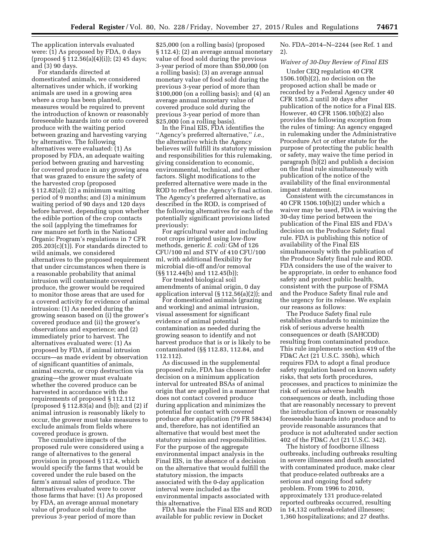The application intervals evaluated were: (1) As proposed by FDA, 0 days (proposed § 112.56(a)(4)(i)); (2) 45 days; and (3) 90 days.

For standards directed at domesticated animals, we considered alternatives under which, if working animals are used in a growing area where a crop has been planted, measures would be required to prevent the introduction of known or reasonably foreseeable hazards into or onto covered produce with the waiting period between grazing and harvesting varying by alternative. The following alternatives were evaluated: (1) As proposed by FDA, an adequate waiting period between grazing and harvesting for covered produce in any growing area that was grazed to ensure the safety of the harvested crop (proposed § 112.82(a)); (2) a minimum waiting period of 9 months; and (3) a minimum waiting period of 90 days and 120 days before harvest, depending upon whether the edible portion of the crop contacts the soil (applying the timeframes for raw manure set forth in the National Organic Program's regulations in 7 CFR  $205.203(c)(1)$ ). For standards directed to wild animals, we considered alternatives to the proposed requirement that under circumstances when there is a reasonable probability that animal intrusion will contaminate covered produce, the grower would be required to monitor those areas that are used for a covered activity for evidence of animal intrusion: (1) As needed during the growing season based on (i) the grower's covered produce and (ii) the grower's observations and experience; and (2) immediately prior to harvest. The alternatives evaluated were: (1) As proposed by FDA, if animal intrusion occurs—as made evident by observation of significant quantities of animals, animal excreta, or crop destruction via grazing—the grower must evaluate whether the covered produce can be harvested in accordance with the requirements of proposed § 112.112 (proposed § 112.83(a) and (b)); and (2) if animal intrusion is reasonably likely to occur, the grower must take measures to exclude animals from fields where covered produce is grown.

The cumulative impacts of the proposed rule were considered using a range of alternatives to the general provision in proposed § 112.4, which would specify the farms that would be covered under the rule based on the farm's annual sales of produce. The alternatives evaluated were to cover those farms that have: (1) As proposed by FDA, an average annual monetary value of produce sold during the previous 3-year period of more than

\$25,000 (on a rolling basis) (proposed § 112.4); (2) an average annual monetary value of food sold during the previous 3-year period of more than \$50,000 (on a rolling basis); (3) an average annual monetary value of food sold during the previous 3-year period of more than \$100,000 (on a rolling basis); and (4) an average annual monetary value of covered produce sold during the previous 3-year period of more than \$25,000 (on a rolling basis).

In the Final EIS, FDA identifies the ''Agency's preferred alternative,'' *i.e.,*  the alternative which the Agency believes will fulfill its statutory mission and responsibilities for this rulemaking, giving consideration to economic, environmental, technical, and other factors. Slight modifications to the preferred alternative were made in the ROD to reflect the Agency's final action. The Agency's preferred alternative, as described in the ROD, is comprised of the following alternatives for each of the potentially significant provisions listed previously:

For agricultural water and including root crops irrigated using low-flow methods, generic *E. coli:* GM of 126 CFU/100 ml and STV of 410 CFU/100 ml, with additional flexibility for microbial die-off and/or removal (§§ 112.44(b) and 112.45(b));

For treated biological soil amendments of animal origin, 0 day application interval (§ 112.56(a)(2)); and

For domesticated animals (grazing and working) and animal intrusion, visual assessment for significant evidence of animal potential contamination as needed during the growing season to identify and not harvest produce that is or is likely to be contaminated (§§ 112.83, 112.84, and 112.112).

As discussed in the supplemental proposed rule, FDA has chosen to defer decision on a minimum application interval for untreated BSAs of animal origin that are applied in a manner that does not contact covered produce during application and minimizes the potential for contact with covered produce after application (79 FR 58434) and, therefore, has not identified an alternative that would best meet the statutory mission and responsibilities. For the purpose of the aggregate environmental impact analysis in the Final EIS, in the absence of a decision on the alternative that would fulfill the statutory mission, the impacts associated with the 0-day application interval were included as the environmental impacts associated with this alternative.

FDA has made the Final EIS and ROD available for public review in Docket

No. FDA–2014–N–2244 (see Ref. 1 and 2).

## *Waiver of 30-Day Review of Final EIS*

Under CEQ regulation 40 CFR 1506.10(b)(2), no decision on the proposed action shall be made or recorded by a Federal Agency under 40 CFR 1505.2 until 30 days after publication of the notice for a Final EIS. However, 40 CFR 1506.10(b)(2) also provides the following exception from the rules of timing: An agency engaged in rulemaking under the Administrative Procedure Act or other statute for the purpose of protecting the public health or safety, may waive the time period in paragraph (b)(2) and publish a decision on the final rule simultaneously with publication of the notice of the availability of the final environmental impact statement.

Consistent with the circumstances in 40 CFR 1506.10(b)(2) under which a waiver may be used, FDA is waiving the 30-day time period between the publication of the Final EIS and FDA's decision on the Produce Safety final rule. FDA is publishing this notice of availability of the Final EIS simultaneously with the publication of the Produce Safety final rule and ROD. FDA considers the use of the waiver to be appropriate, in order to enhance food safety and protect public health, consistent with the purpose of FSMA and the Produce Safety final rule and the urgency for its release. We explain our reasons as follows:

The Produce Safety final rule establishes standards to minimize the risk of serious adverse health consequences or death (SAHCOD) resulting from contaminated produce. This rule implements section 419 of the FD&C Act (21 U.S.C. 350h), which requires FDA to adopt a final produce safety regulation based on known safety risks, that sets forth procedures, processes, and practices to minimize the risk of serious adverse health consequences or death, including those that are reasonably necessary to prevent the introduction of known or reasonably foreseeable hazards into produce and to provide reasonable assurances that produce is not adulterated under section 402 of the FD&C Act (21 U.S.C. 342).

The history of foodborne illness outbreaks, including outbreaks resulting in severe illnesses and death associated with contaminated produce, make clear that produce-related outbreaks are a serious and ongoing food safety problem. From 1996 to 2010, approximately 131 produce-related reported outbreaks occurred, resulting in 14,132 outbreak-related illnesses; 1,360 hospitalizations; and 27 deaths.